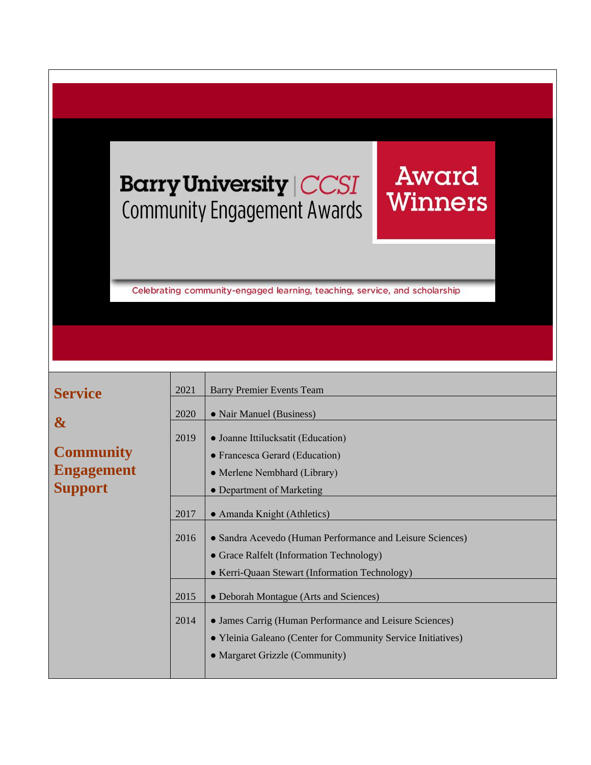## **Barry University | CCSI Community Engagement Awards**

Celebrating community-engaged learning, teaching, service, and scholarship

Award

Winners

| <b>Service</b>    | 2021 | <b>Barry Premier Events Team</b>                                                                                                                          |
|-------------------|------|-----------------------------------------------------------------------------------------------------------------------------------------------------------|
|                   | 2020 | • Nair Manuel (Business)                                                                                                                                  |
| $\boldsymbol{\&}$ |      |                                                                                                                                                           |
|                   | 2019 | • Joanne Ittilucksatit (Education)                                                                                                                        |
| <b>Community</b>  |      | • Francesca Gerard (Education)                                                                                                                            |
| <b>Engagement</b> |      | • Merlene Nembhard (Library)                                                                                                                              |
| <b>Support</b>    |      | • Department of Marketing                                                                                                                                 |
|                   | 2017 | • Amanda Knight (Athletics)                                                                                                                               |
|                   | 2016 | • Sandra Acevedo (Human Performance and Leisure Sciences)<br>• Grace Ralfelt (Information Technology)<br>• Kerri-Quaan Stewart (Information Technology)   |
|                   | 2015 | • Deborah Montague (Arts and Sciences)                                                                                                                    |
|                   | 2014 | • James Carrig (Human Performance and Leisure Sciences)<br>• Yleinia Galeano (Center for Community Service Initiatives)<br>• Margaret Grizzle (Community) |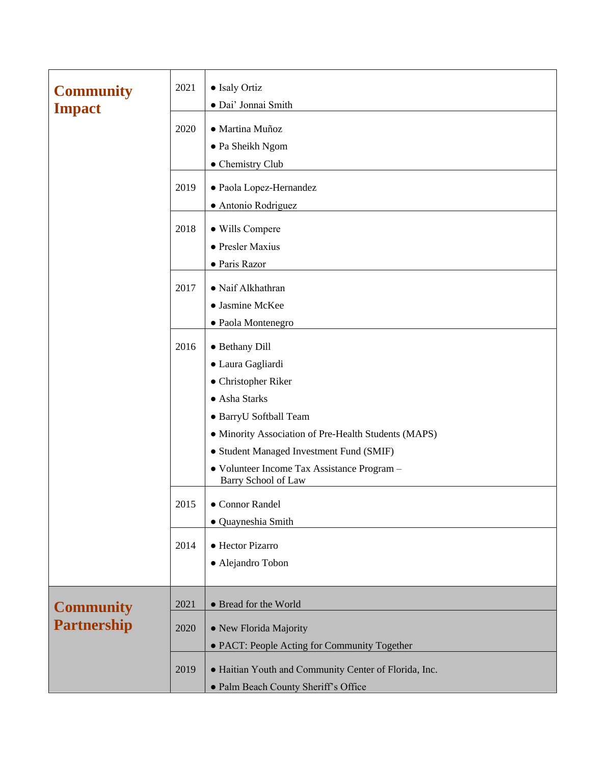| <b>Community</b><br><b>Impact</b> | 2021 | • Isaly Ortiz<br>· Dai' Jonnai Smith                               |
|-----------------------------------|------|--------------------------------------------------------------------|
|                                   | 2020 | · Martina Muñoz<br>• Pa Sheikh Ngom                                |
|                                   |      | • Chemistry Club                                                   |
|                                   | 2019 | · Paola Lopez-Hernandez<br>• Antonio Rodriguez                     |
|                                   | 2018 | • Wills Compere                                                    |
|                                   |      | • Presler Maxius                                                   |
|                                   |      | • Paris Razor                                                      |
|                                   |      |                                                                    |
|                                   | 2017 | · Naif Alkhathran                                                  |
|                                   |      | • Jasmine McKee                                                    |
|                                   |      | · Paola Montenegro                                                 |
|                                   | 2016 | • Bethany Dill                                                     |
|                                   |      | · Laura Gagliardi                                                  |
|                                   |      | • Christopher Riker                                                |
|                                   |      | • Asha Starks                                                      |
|                                   |      | · BarryU Softball Team                                             |
|                                   |      | • Minority Association of Pre-Health Students (MAPS)               |
|                                   |      | • Student Managed Investment Fund (SMIF)                           |
|                                   |      | · Volunteer Income Tax Assistance Program -<br>Barry School of Law |
|                                   | 2015 | • Connor Randel                                                    |
|                                   |      | · Quayneshia Smith                                                 |
|                                   | 2014 | • Hector Pizarro                                                   |
|                                   |      | · Alejandro Tobon                                                  |
|                                   |      |                                                                    |
| <b>Community</b>                  | 2021 | • Bread for the World                                              |
| <b>Partnership</b>                | 2020 | • New Florida Majority                                             |
|                                   |      | • PACT: People Acting for Community Together                       |
|                                   | 2019 | • Haitian Youth and Community Center of Florida, Inc.              |
|                                   |      | · Palm Beach County Sheriff's Office                               |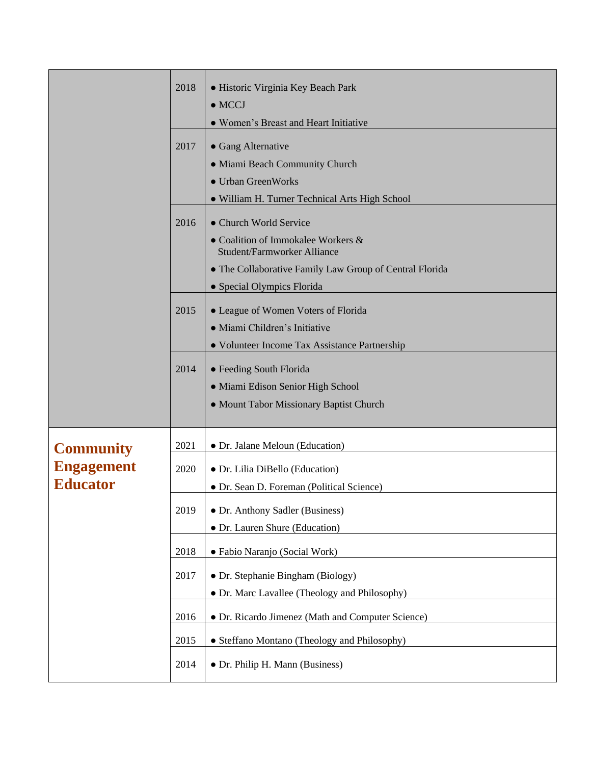|                   | 2018 | • Historic Virginia Key Beach Park<br>$\bullet$ MCCJ                     |
|-------------------|------|--------------------------------------------------------------------------|
|                   |      | • Women's Breast and Heart Initiative                                    |
|                   | 2017 | • Gang Alternative                                                       |
|                   |      | · Miami Beach Community Church                                           |
|                   |      | • Urban GreenWorks                                                       |
|                   |      | · William H. Turner Technical Arts High School                           |
|                   | 2016 | • Church World Service                                                   |
|                   |      | • Coalition of Immokalee Workers &<br><b>Student/Farmworker Alliance</b> |
|                   |      | • The Collaborative Family Law Group of Central Florida                  |
|                   |      | • Special Olympics Florida                                               |
|                   | 2015 | • League of Women Voters of Florida                                      |
|                   |      | · Miami Children's Initiative                                            |
|                   |      | • Volunteer Income Tax Assistance Partnership                            |
|                   | 2014 | · Feeding South Florida                                                  |
|                   |      | • Miami Edison Senior High School                                        |
|                   |      | • Mount Tabor Missionary Baptist Church                                  |
|                   |      |                                                                          |
| <b>Community</b>  | 2021 | • Dr. Jalane Meloun (Education)                                          |
| <b>Engagement</b> | 2020 | • Dr. Lilia DiBello (Education)                                          |
| <b>Educator</b>   |      | · Dr. Sean D. Foreman (Political Science)                                |
|                   | 2019 | • Dr. Anthony Sadler (Business)                                          |
|                   |      | • Dr. Lauren Shure (Education)                                           |
|                   | 2018 | • Fabio Naranjo (Social Work)                                            |
|                   | 2017 | • Dr. Stephanie Bingham (Biology)                                        |
|                   |      | • Dr. Marc Lavallee (Theology and Philosophy)                            |
|                   | 2016 | • Dr. Ricardo Jimenez (Math and Computer Science)                        |
|                   | 2015 | • Steffano Montano (Theology and Philosophy)                             |
|                   |      |                                                                          |
|                   | 2014 | • Dr. Philip H. Mann (Business)                                          |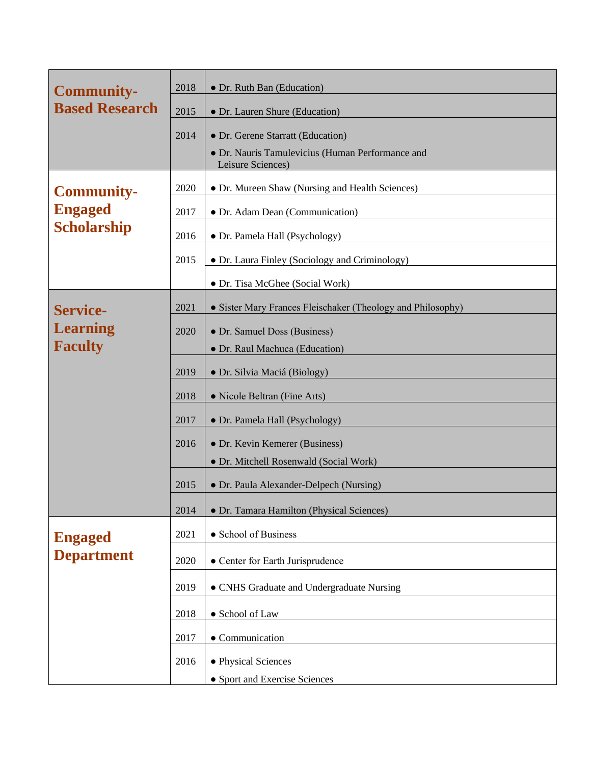| <b>Community-</b>                    | 2018 | • Dr. Ruth Ban (Education)                                            |
|--------------------------------------|------|-----------------------------------------------------------------------|
| <b>Based Research</b>                | 2015 | • Dr. Lauren Shure (Education)                                        |
|                                      | 2014 | • Dr. Gerene Starratt (Education)                                     |
|                                      |      | • Dr. Nauris Tamulevicius (Human Performance and<br>Leisure Sciences) |
| <b>Community-</b>                    | 2020 | • Dr. Mureen Shaw (Nursing and Health Sciences)                       |
| <b>Engaged</b><br><b>Scholarship</b> | 2017 | • Dr. Adam Dean (Communication)                                       |
|                                      | 2016 | • Dr. Pamela Hall (Psychology)                                        |
|                                      | 2015 | · Dr. Laura Finley (Sociology and Criminology)                        |
|                                      |      | • Dr. Tisa McGhee (Social Work)                                       |
| <b>Service-</b>                      | 2021 | • Sister Mary Frances Fleischaker (Theology and Philosophy)           |
| <b>Learning</b>                      | 2020 | • Dr. Samuel Doss (Business)                                          |
| <b>Faculty</b>                       |      | • Dr. Raul Machuca (Education)                                        |
|                                      | 2019 | · Dr. Silvia Maciá (Biology)                                          |
|                                      | 2018 | • Nicole Beltran (Fine Arts)                                          |
|                                      | 2017 | • Dr. Pamela Hall (Psychology)                                        |
|                                      | 2016 | • Dr. Kevin Kemerer (Business)                                        |
|                                      |      | · Dr. Mitchell Rosenwald (Social Work)                                |
|                                      | 2015 | • Dr. Paula Alexander-Delpech (Nursing)                               |
|                                      | 2014 | · Dr. Tamara Hamilton (Physical Sciences)                             |
| <b>Engaged</b>                       | 2021 | • School of Business                                                  |
| <b>Department</b>                    | 2020 | • Center for Earth Jurisprudence                                      |
|                                      | 2019 | • CNHS Graduate and Undergraduate Nursing                             |
|                                      | 2018 | • School of Law                                                       |
|                                      | 2017 | • Communication                                                       |
|                                      | 2016 | • Physical Sciences                                                   |
|                                      |      | • Sport and Exercise Sciences                                         |